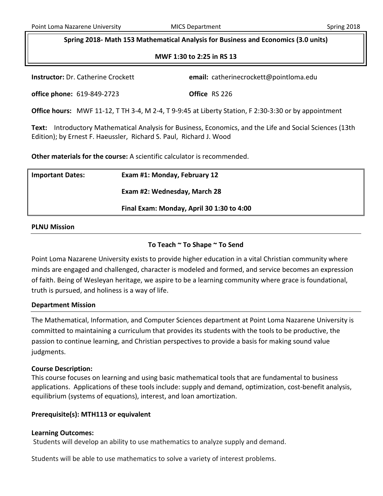# **Spring 2018- Math 153 Mathematical Analysis for Business and Economics (3.0 units)**

## **MWF 1:30 to 2:25 in RS 13**

**Instruct Catherine Crockett** @pointloma.edu

| <b>Instructor: Dr. Catherine Crockett</b> |  |
|-------------------------------------------|--|
|-------------------------------------------|--|

**office phone:** 619-849-2723 **Office** RS 226

**Office hours:** MWF 11-12, T TH 3-4, M 2-4, T 9-9:45 at Liberty Station, F 2:30-3:30 or by appointment

**Text:** Introductory Mathematical Analysis for Business, Economics, and the Life and Social Sciences (13th Edition); b[y Ernest F. Haeussler,](http://www.valorebooks.com/author/Ernest+F.+Haeussler) [Richard S. Paul,](http://www.valorebooks.com/author/Richard+S.+Paul) [Richard J. Wood](http://www.valorebooks.com/author/Richard+J.+Wood)

**Other materials for the course:** A scientific calculator is recommended.

| <b>Important Dates:</b> | Exam #1: Monday, February 12              |  |
|-------------------------|-------------------------------------------|--|
|                         | Exam #2: Wednesday, March 28              |  |
|                         | Final Exam: Monday, April 30 1:30 to 4:00 |  |
|                         |                                           |  |

## **PLNU Mission**

# **To Teach ~ To Shape ~ To Send**

Point Loma Nazarene University exists to provide higher education in a vital Christian community where minds are engaged and challenged, character is modeled and formed, and service becomes an expression of faith. Being of Wesleyan heritage, we aspire to be a learning community where grace is foundational, truth is pursued, and holiness is a way of life.

## **Department Mission**

The Mathematical, Information, and Computer Sciences department at Point Loma Nazarene University is committed to maintaining a curriculum that provides its students with the tools to be productive, the passion to continue learning, and Christian perspectives to provide a basis for making sound value judgments.

## **Course Description:**

This course focuses on learning and using basic mathematical tools that are fundamental to business applications. Applications of these tools include: supply and demand, optimization, cost-benefit analysis, equilibrium (systems of equations), interest, and loan amortization.

# **Prerequisite(s): MTH113 or equivalent**

# **Learning Outcomes:**

Students will develop an ability to use mathematics to analyze supply and demand.

Students will be able to use mathematics to solve a variety of interest problems.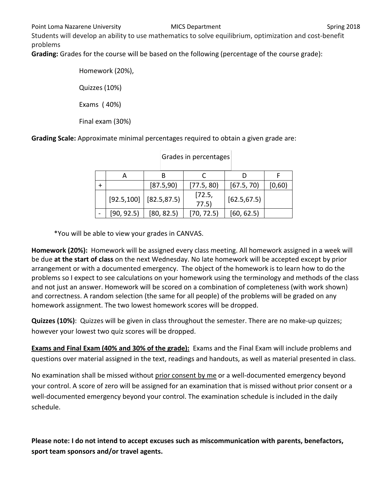Students will develop an ability to use mathematics to solve equilibrium, optimization and cost-benefit problems

**Grading:** Grades for the course will be based on the following (percentage of the course grade):

Homework (20%), Quizzes (10%) Exams ( 40%) Final exam (30%)

**Grading Scale:** Approximate minimal percentages required to obtain a given grade are:

|            | [87.5,90]                    | [77.5, 80]      | [67.5, 70]   | [0,60) |
|------------|------------------------------|-----------------|--------------|--------|
|            | $[92.5, 100]$ $[82.5, 87.5]$ | [72.5,<br>77.5) | [62.5, 67.5] |        |
| [90, 92.5] | [80, 82.5]                   | [70, 72.5]      | [60, 62.5]   |        |

# Grades in percentages

\*You will be able to view your grades in CANVAS.

**Homework (20%):** Homework will be assigned every class meeting. All homework assigned in a week will be due **at the start of class** on the next Wednesday. No late homework will be accepted except by prior arrangement or with a documented emergency. The object of the homework is to learn how to do the problems so I expect to see calculations on your homework using the terminology and methods of the class and not just an answer. Homework will be scored on a combination of completeness (with work shown) and correctness. A random selection (the same for all people) of the problems will be graded on any homework assignment. The two lowest homework scores will be dropped.

**Quizzes (10%)**: Quizzes will be given in class throughout the semester. There are no make-up quizzes; however your lowest two quiz scores will be dropped.

**Exams and Final Exam (40% and 30% of the grade):** Exams and the Final Exam will include problems and questions over material assigned in the text, readings and handouts, as well as material presented in class.

No examination shall be missed without prior consent by me or a well-documented emergency beyond your control. A score of zero will be assigned for an examination that is missed without prior consent or a well-documented emergency beyond your control. The examination schedule is included in the daily schedule.

**Please note: I do not intend to accept excuses such as miscommunication with parents, benefactors, sport team sponsors and/or travel agents.**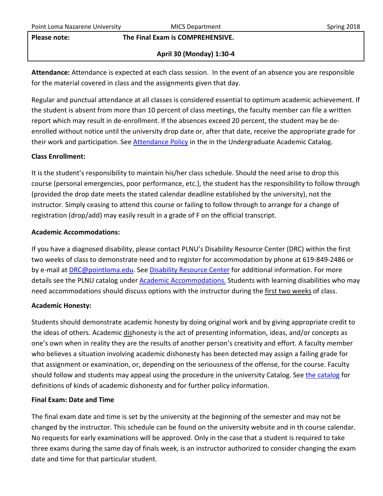#### **Please note: The Final Exam is COMPREHENSIVE.**

# **April 30 (Monday) 1:30-4**

**Attendance:** Attendance is expected at each class session. In the event of an absence you are responsible for the material covered in class and the assignments given that day.

Regular and punctual attendance at all classes is considered essential to optimum academic achievement. If the student is absent from more than 10 percent of class meetings, the faculty member can file a written report which may result in de-enrollment. If the absences exceed 20 percent, the student may be deenrolled without notice until the university drop date or, after that date, receive the appropriate grade for their work and participation. See **Attendance Policy** in the in the Undergraduate Academic Catalog.

# **Class Enrollment:**

It is the student's responsibility to maintain his/her class schedule. Should the need arise to drop this course (personal emergencies, poor performance, etc.), the student has the responsibility to follow through (provided the drop date meets the stated calendar deadline established by the university), not the instructor. Simply ceasing to attend this course or failing to follow through to arrange for a change of registration (drop/add) may easily result in a grade of F on the official transcript.

# **Academic Accommodations:**

If you have a diagnosed disability, please contact PLNU's Disability Resource Center (DRC) within the first two weeks of class to demonstrate need and to register for accommodation by phone at 619-849-2486 or by e-mail at **DRC@pointloma.edu.** See [Disability Resource Center](http://www.pointloma.edu/experience/offices/administrative-offices/academic-advising-office/disability-resource-center) for additional information. For more details see the PLNU catalog under [Academic Accommodations.](https://catalog.pointloma.edu/content.php?catoid=28&navoid=1761#Academic_Accommodations) Students with learning disabilities who may need accommodations should discuss options with the instructor during the first two weeks of class.

# **Academic Honesty:**

Students should demonstrate academic honesty by doing original work and by giving appropriate credit to the ideas of others. Academic dishonesty is the act of presenting information, ideas, and/or concepts as one's own when in reality they are the results of another person's creativity and effort. A faculty member who believes a situation involving academic dishonesty has been detected may assign a failing grade for that assignment or examination, or, depending on the seriousness of the offense, for the course. Faculty should follow and students may appeal using the procedure in the university Catalog. Se[e the catalog](https://catalog.pointloma.edu/content.php?catoid=28&navoid=1761#Academic_Honesty) for definitions of kinds of academic dishonesty and for further policy information.

# **Final Exam: Date and Time**

The final exam date and time is set by the university at the beginning of the semester and may not be changed by the instructor. This schedule can be found on the university website and in th course calendar. No requests for early examinations will be approved. Only in the case that a student is required to take three exams during the same day of finals week, is an instructor authorized to consider changing the exam date and time for that particular student.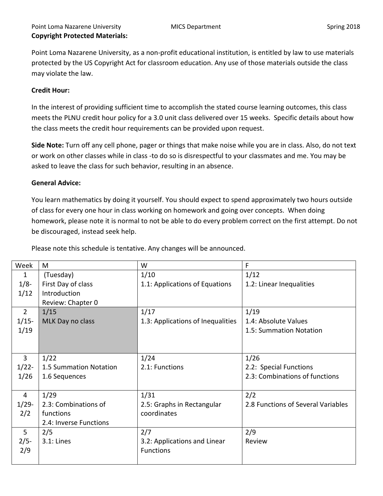Point Loma Nazarene University, as a non-profit educational institution, is entitled by law to use materials protected by the US Copyright Act for classroom education. Any use of those materials outside the class may violate the law.

# **Credit Hour:**

In the interest of providing sufficient time to accomplish the stated course learning outcomes, this class meets the PLNU credit hour policy for a 3.0 unit class delivered over 15 weeks. Specific details about how the class meets the credit hour requirements can be provided upon request.

**Side Note:** Turn off any cell phone, pager or things that make noise while you are in class. Also, do not text or work on other classes while in class -to do so is disrespectful to your classmates and me. You may be asked to leave the class for such behavior, resulting in an absence.

## **General Advice:**

You learn mathematics by doing it yourself. You should expect to spend approximately two hours outside of class for every one hour in class working on homework and going over concepts. When doing homework, please note it is normal to not be able to do every problem correct on the first attempt. Do not be discouraged, instead seek help.

| Week           | M                      | W                                 | F                                  |
|----------------|------------------------|-----------------------------------|------------------------------------|
| 1              | (Tuesday)              | 1/10                              | 1/12                               |
| 1/8            | First Day of class     | 1.1: Applications of Equations    | 1.2: Linear Inequalities           |
| 1/12           | Introduction           |                                   |                                    |
|                | Review: Chapter 0      |                                   |                                    |
| $\overline{2}$ | 1/15                   | 1/17                              | 1/19                               |
| $1/15-$        | MLK Day no class       | 1.3: Applications of Inequalities | 1.4: Absolute Values               |
| 1/19           |                        |                                   | 1.5: Summation Notation            |
|                |                        |                                   |                                    |
|                |                        |                                   |                                    |
| $\overline{3}$ | 1/22                   | 1/24                              | 1/26                               |
| $1/22$ -       | 1.5 Summation Notation | 2.1: Functions                    | 2.2: Special Functions             |
| 1/26           | 1.6 Sequences          |                                   | 2.3: Combinations of functions     |
|                |                        |                                   |                                    |
| 4              | 1/29                   | 1/31                              | 2/2                                |
| $1/29-$        | 2.3: Combinations of   | 2.5: Graphs in Rectangular        | 2.8 Functions of Several Variables |
| 2/2            | functions              | coordinates                       |                                    |
|                | 2.4: Inverse Functions |                                   |                                    |
| 5              | 2/5                    | 2/7                               | 2/9                                |
| $2/5-$         | $3.1:$ Lines           | 3.2: Applications and Linear      | Review                             |
| 2/9            |                        | <b>Functions</b>                  |                                    |
|                |                        |                                   |                                    |

Please note this schedule is tentative. Any changes will be announced.